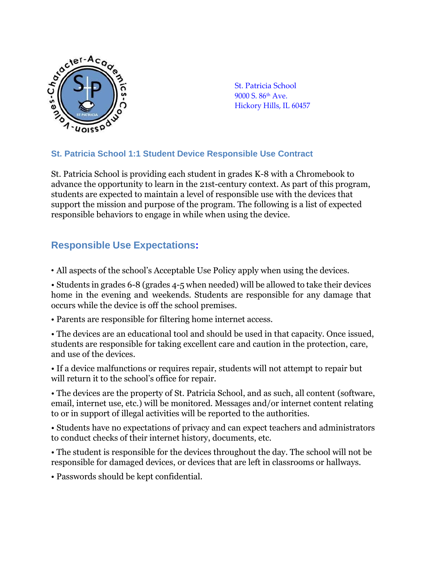

St. Patricia School 9000 S. 86th Ave. Hickory Hills, IL 60457

#### **St. Patricia School 1:1 Student Device Responsible Use Contract**

St. Patricia School is providing each student in grades K-8 with a Chromebook to advance the opportunity to learn in the 21st-century context. As part of this program, students are expected to maintain a level of responsible use with the devices that support the mission and purpose of the program. The following is a list of expected responsible behaviors to engage in while when using the device.

# **Responsible Use Expectations:**

• All aspects of the school's Acceptable Use Policy apply when using the devices.

• Students in grades 6-8 (grades 4-5 when needed) will be allowed to take their devices home in the evening and weekends. Students are responsible for any damage that occurs while the device is off the school premises.

- Parents are responsible for filtering home internet access.
- The devices are an educational tool and should be used in that capacity. Once issued, students are responsible for taking excellent care and caution in the protection, care, and use of the devices.
- If a device malfunctions or requires repair, students will not attempt to repair but will return it to the school's office for repair.

• The devices are the property of St. Patricia School, and as such, all content (software, email, internet use, etc.) will be monitored. Messages and/or internet content relating to or in support of illegal activities will be reported to the authorities.

• Students have no expectations of privacy and can expect teachers and administrators to conduct checks of their internet history, documents, etc.

• The student is responsible for the devices throughout the day. The school will not be responsible for damaged devices, or devices that are left in classrooms or hallways.

• Passwords should be kept confidential.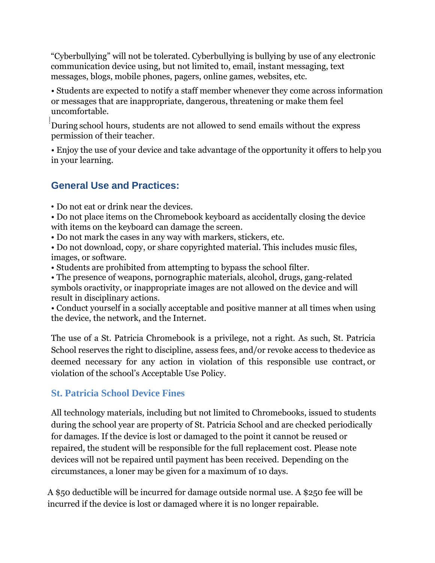"Cyberbullying" will not be tolerated. Cyberbullying is bullying by use of any electronic communication device using, but not limited to, email, instant messaging, text messages, blogs, mobile phones, pagers, online games, websites, etc.

• Students are expected to notify a staff member whenever they come across information or messages that are inappropriate, dangerous, threatening or make them feel uncomfortable.

̇̇̇̇̇̇ ̇̇̇̇̇̇ ̇̇̇̇̇̇ ̇̇̇̇̇̇ ̇̇̇̇̇̇ ̇̇̇̇̇̇ During school hours, students are not allowed to send emails without the express permission of their teacher.

• Enjoy the use of your device and take advantage of the opportunity it offers to help you in your learning.

# **General Use and Practices:**

• Do not eat or drink near the devices.

• Do not place items on the Chromebook keyboard as accidentally closing the device with items on the keyboard can damage the screen.

• Do not mark the cases in any way with markers, stickers, etc.

• Do not download, copy, or share copyrighted material. This includes music files, images, or software.

• Students are prohibited from attempting to bypass the school filter.

• The presence of weapons, pornographic materials, alcohol, drugs, gang-related symbols oractivity, or inappropriate images are not allowed on the device and will result in disciplinary actions.

• Conduct yourself in a socially acceptable and positive manner at all times when using the device, the network, and the Internet.

The use of a St. Patricia Chromebook is a privilege, not a right. As such, St. Patricia School reserves the right to discipline, assess fees, and/or revoke access to thedevice as deemed necessary for any action in violation of this responsible use contract, or violation of the school's Acceptable Use Policy.

## **St. Patricia School Device Fines**

All technology materials, including but not limited to Chromebooks, issued to students during the school year are property of St. Patricia School and are checked periodically for damages. If the device is lost or damaged to the point it cannot be reused or repaired, the student will be responsible for the full replacement cost. Please note devices will not be repaired until payment has been received. Depending on the circumstances, a loner may be given for a maximum of 10 days.

A \$50 deductible will be incurred for damage outside normal use. A \$250 fee will be incurred if the device is lost or damaged where it is no longer repairable.